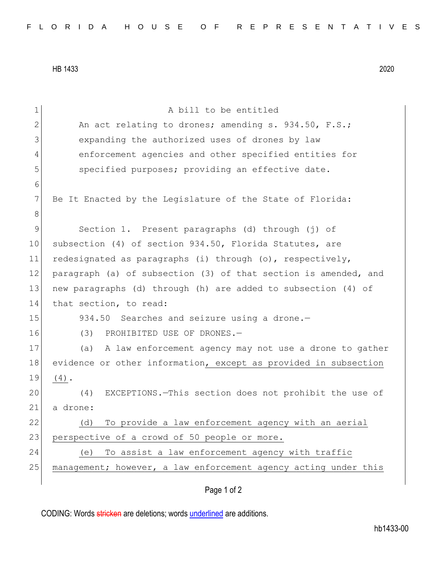HB 1433 2020

1 a bill to be entitled 2 An act relating to drones; amending s. 934.50, F.S.; 3 expanding the authorized uses of drones by law 4 enforcement agencies and other specified entities for 5 specified purposes; providing an effective date. 6 7 Be It Enacted by the Legislature of the State of Florida: 8 9 Section 1. Present paragraphs (d) through (j) of 10 subsection (4) of section 934.50, Florida Statutes, are 11 redesignated as paragraphs (i) through (o), respectively, 12 paragraph (a) of subsection (3) of that section is amended, and 13 new paragraphs (d) through (h) are added to subsection (4) of 14 that section, to read: 15 934.50 Searches and seizure using a drone.-16 (3) PROHIBITED USE OF DRONES.-17 (a) A law enforcement agency may not use a drone to gather 18 evidence or other information, except as provided in subsection  $19 | (4).$ 20 (4) EXCEPTIONS.—This section does not prohibit the use of 21 a drone: 22 (d) To provide a law enforcement agency with an aerial 23 perspective of a crowd of 50 people or more. 24 (e) To assist a law enforcement agency with traffic 25 management; however, a law enforcement agency acting under this

## Page 1 of 2

CODING: Words stricken are deletions; words underlined are additions.